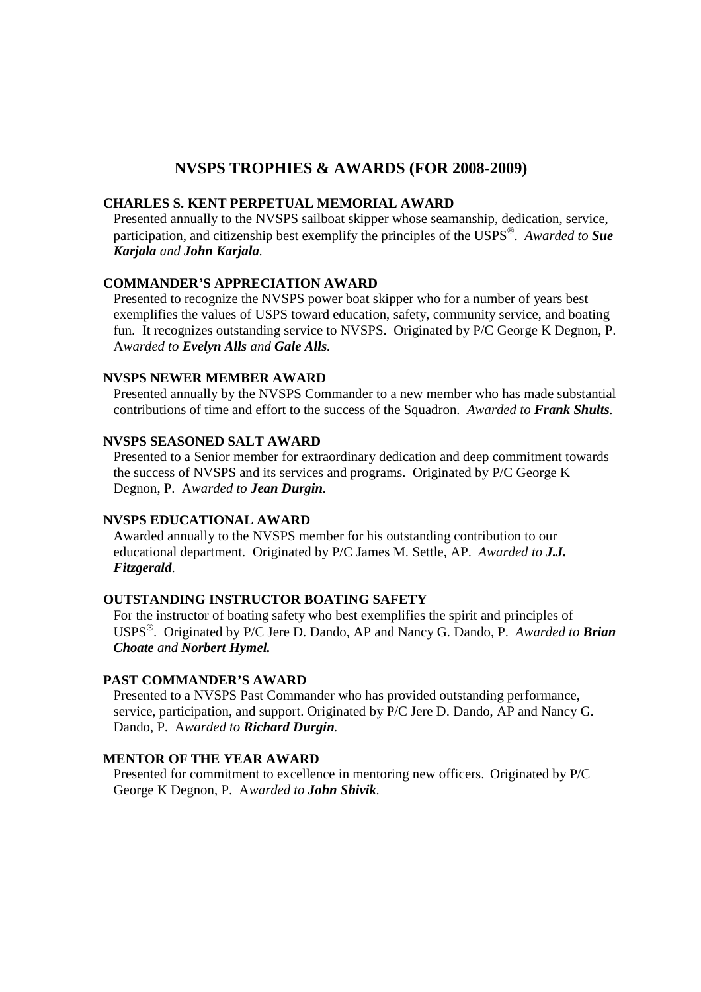# **NVSPS TROPHIES & AWARDS (FOR 2008-2009)**

## **CHARLES S. KENT PERPETUAL MEMORIAL AWARD**

Presented annually to the NVSPS sailboat skipper whose seamanship, dedication, service, participation, and citizenship best exemplify the principles of the USPS . *Awarded to Sue Karjala and John Karjala.* 

### **COMMANDER'S APPRECIATION AWARD**

Presented to recognize the NVSPS power boat skipper who for a number of years best exemplifies the values of USPS toward education, safety, community service, and boating fun. It recognizes outstanding service to NVSPS. Originated by P/C George K Degnon, P. A*warded to Evelyn Alls and Gale Alls.* 

#### **NVSPS NEWER MEMBER AWARD**

Presented annually by the NVSPS Commander to a new member who has made substantial contributions of time and effort to the success of the Squadron. *Awarded to Frank Shults.* 

#### **NVSPS SEASONED SALT AWARD**

Presented to a Senior member for extraordinary dedication and deep commitment towards the success of NVSPS and its services and programs. Originated by P/C George K Degnon, P. A*warded to Jean Durgin.* 

#### **NVSPS EDUCATIONAL AWARD**

Awarded annually to the NVSPS member for his outstanding contribution to our educational department. Originated by P/C James M. Settle, AP. *Awarded to J.J. Fitzgerald*.

### **OUTSTANDING INSTRUCTOR BOATING SAFETY**

For the instructor of boating safety who best exemplifies the spirit and principles of USPS . Originated by P/C Jere D. Dando, AP and Nancy G. Dando, P. *Awarded to Brian Choate and Norbert Hymel.* 

# **PAST COMMANDER'S AWARD**

Presented to a NVSPS Past Commander who has provided outstanding performance, service, participation, and support. Originated by P/C Jere D. Dando, AP and Nancy G. Dando, P. A*warded to Richard Durgin.* 

# **MENTOR OF THE YEAR AWARD**

Presented for commitment to excellence in mentoring new officers. Originated by P/C George K Degnon, P. A*warded to John Shivik.*